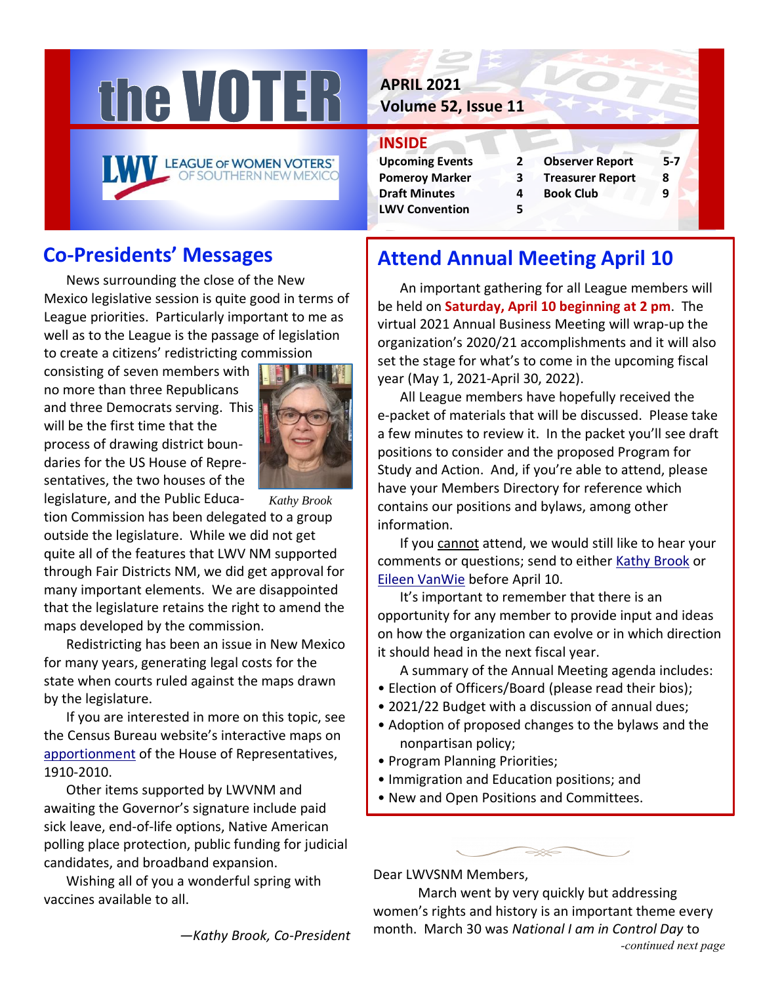



# **Co-Presidents' Messages**

News surrounding the close of the New Mexico legislative session is quite good in terms of League priorities. Particularly important to me as well as to the League is the passage of legislation to create a citizens' redistricting commission

consisting of seven members with no more than three Republicans and three Democrats serving. This will be the first time that the process of drawing district boundaries for the US House of Representatives, the two houses of the



legislature, and the Public Education Commission has been delegated to a group outside the legislature. While we did not get quite all of the features that LWV NM supported through Fair Districts NM, we did get approval for many important elements. We are disappointed that the legislature retains the right to amend the maps developed by the commission. *Kathy Brook*

Redistricting has been an issue in New Mexico for many years, generating legal costs for the state when courts ruled against the maps drawn by the legislature.

If you are interested in more on this topic, see the Census Bureau website's interactive maps on [apportionment](https://www.census.gov/library/visualizations/interactive/historical-apportionment-data-map.html) of the House of Representatives, 1910-2010.

Other items supported by LWVNM and awaiting the Governor's signature include paid sick leave, end-of-life options, Native American polling place protection, public funding for judicial candidates, and broadband expansion.

Wishing all of you a wonderful spring with vaccines available to all.

**APRIL 2021**

**Volume 52, Issue 11**

### **INSIDE**

- **Draft Minutes 4 Book Club 9 LWV Convention 5**
- **Upcoming Events 2 Observer Report 5-7 Pomeroy Marker 3 Treasurer Report 8**
	-

# **Attend Annual Meeting April 10**

An important gathering for all League members will be held on **Saturday, April 10 beginning at 2 pm**. The virtual 2021 Annual Business Meeting will wrap-up the organization's 2020/21 accomplishments and it will also set the stage for what's to come in the upcoming fiscal year (May 1, 2021-April 30, 2022).

All League members have hopefully received the e-packet of materials that will be discussed. Please take a few minutes to review it. In the packet you'll see draft positions to consider and the proposed Program for Study and Action. And, if you're able to attend, please have your Members Directory for reference which contains our positions and bylaws, among other information.

If you cannot attend, we would still like to hear your comments or questions; send to either Kathy [Brook](mailto:kathybrook@comcast.net) or Eileen [VanWie](mailto:vanwieek@yahoo.com) before April 10.

It's important to remember that there is an opportunity for any member to provide input and ideas on how the organization can evolve or in which direction it should head in the next fiscal year.

A summary of the Annual Meeting agenda includes:

- Election of Officers/Board (please read their bios);
- 2021/22 Budget with a discussion of annual dues;
- Adoption of proposed changes to the bylaws and the nonpartisan policy;
- Program Planning Priorities;
- Immigration and Education positions; and
- New and Open Positions and Committees.



Dear LWVSNM Members,

March went by very quickly but addressing women's rights and history is an important theme every month. March 30 was *National I am in Control Day* to *-continued next page*

*—Kathy Brook, Co-President*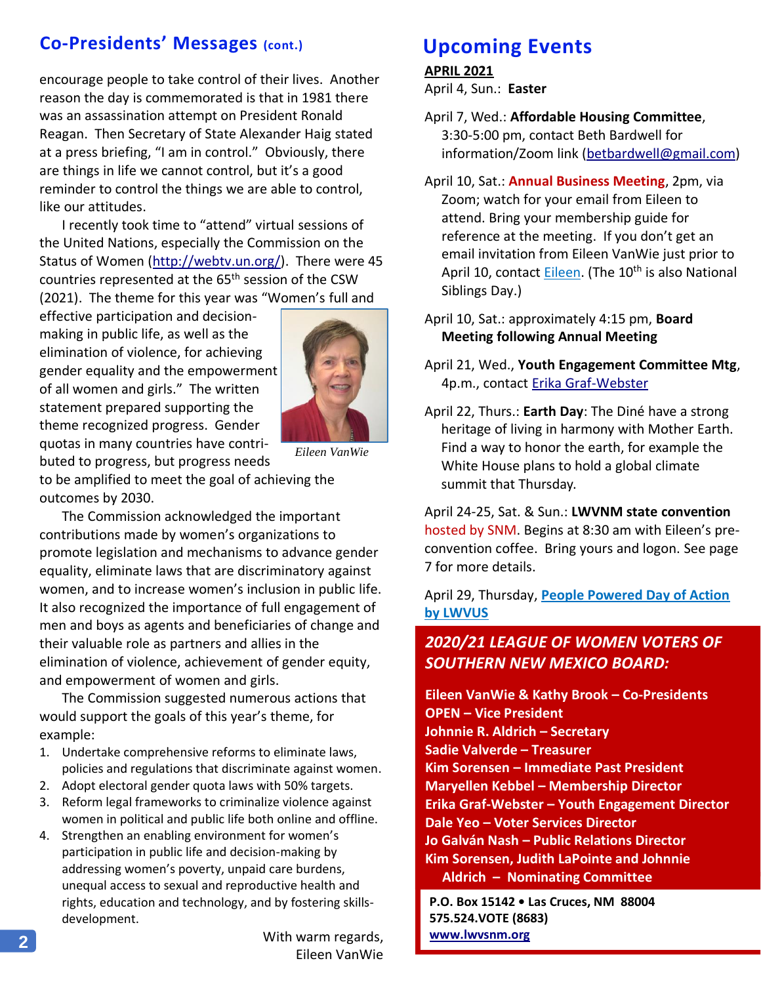## **Co-Presidents' Messages (cont.)**

encourage people to take control of their lives. Another reason the day is commemorated is that in 1981 there was an assassination attempt on President Ronald Reagan. Then Secretary of State Alexander Haig stated at a press briefing, "I am in control." Obviously, there are things in life we cannot control, but it's a good reminder to control the things we are able to control, like our attitudes.

I recently took time to "attend" virtual sessions of the United Nations, especially the Commission on the Status of Women [\(http://webtv.un.org/\)](http://webtv.un.org/). There were 45 countries represented at the 65th session of the CSW (2021). The theme for this year was "Women's full and

effective participation and decisionmaking in public life, as well as the elimination of violence, for achieving gender equality and the empowerment of all women and girls." The written statement prepared supporting the theme recognized progress. Gender quotas in many countries have contributed to progress, but progress needs



*Eileen VanWie*

to be amplified to meet the goal of achieving the outcomes by 2030.

The Commission acknowledged the important contributions made by women's organizations to promote legislation and mechanisms to advance gender equality, eliminate laws that are discriminatory against women, and to increase women's inclusion in public life. It also recognized the importance of full engagement of men and boys as agents and beneficiaries of change and their valuable role as partners and allies in the elimination of violence, achievement of gender equity, and empowerment of women and girls.

The Commission suggested numerous actions that would support the goals of this year's theme, for example:

- 1. Undertake comprehensive reforms to eliminate laws, policies and regulations that discriminate against women.
- 2. Adopt electoral gender quota laws with 50% targets.
- 3. Reform legal frameworks to criminalize violence against women in political and public life both online and offline.
- 4. Strengthen an enabling environment for women's participation in public life and decision-making by addressing women's poverty, unpaid care burdens, unequal access to sexual and reproductive health and rights, education and technology, and by fostering skillsdevelopment.

With warm regards, Eileen VanWie

## **Upcoming Events**

#### **APRIL 2021**

April 4, Sun.: **Easter**

- April 7, Wed.: **Affordable Housing Committee**, 3:30-5:00 pm, contact Beth Bardwell for information/Zoom link [\(betbardwell@gmail.com\)](mailto:betbardwell@gmail.com)
- April 10, Sat.: **Annual Business Meeting**, 2pm, via Zoom; watch for your email from Eileen to attend. Bring your membership guide for reference at the meeting. If you don't get an email invitation from Eileen VanWie just prior to April 10, contact [Eileen.](mailto:vanwieek@yahoo.com) (The 10<sup>th</sup> is also National Siblings Day.)
- April 10, Sat.: approximately 4:15 pm, **Board Meeting following Annual Meeting**
- April 21, Wed., **Youth Engagement Committee Mtg**, 4p.m., contact [Erika Graf-Webster](mailto:grafwebster@icloud.com)
- April 22, Thurs.: **Earth Day**: The Diné have a strong heritage of living in harmony with Mother Earth. Find a way to honor the earth, for example the White House plans to hold a global climate summit that Thursday.

April 24-25, Sat. & Sun.: **LWVNM state convention** hosted by SNM. Begins at 8:30 am with Eileen's preconvention coffee. Bring yours and logon. See page 7 for more details.

April 29, Thursday, **[People Powered Day of Action](https://www.lwv.org/sites/default/files/2021-02/People%20powered%20day%20of%20action%20FAQ__.pdf?utm_source=LeagueUpdate&utm_medium=email&utm_campaign=02112021)  [by LWVUS](https://www.lwv.org/sites/default/files/2021-02/People%20powered%20day%20of%20action%20FAQ__.pdf?utm_source=LeagueUpdate&utm_medium=email&utm_campaign=02112021)**

### *2020/21 LEAGUE OF WOMEN VOTERS OF SOUTHERN NEW MEXICO BOARD:*

**Eileen VanWie & Kathy Brook – Co-Presidents OPEN – Vice President Johnnie R. Aldrich – Secretary Sadie Valverde – Treasurer Kim Sorensen – Immediate Past President Maryellen Kebbel – Membership Director Erika Graf-Webster – Youth Engagement Director Dale Yeo – Voter Services Director Jo Galván Nash – Public Relations Director Kim Sorensen, Judith LaPointe and Johnnie Aldrich – Nominating Committee**

**P.O. Box 15142 • Las Cruces, NM 88004 575.524.VOTE (8683) [www.lwvsnm.org](http://www.lwvsnm.org/)**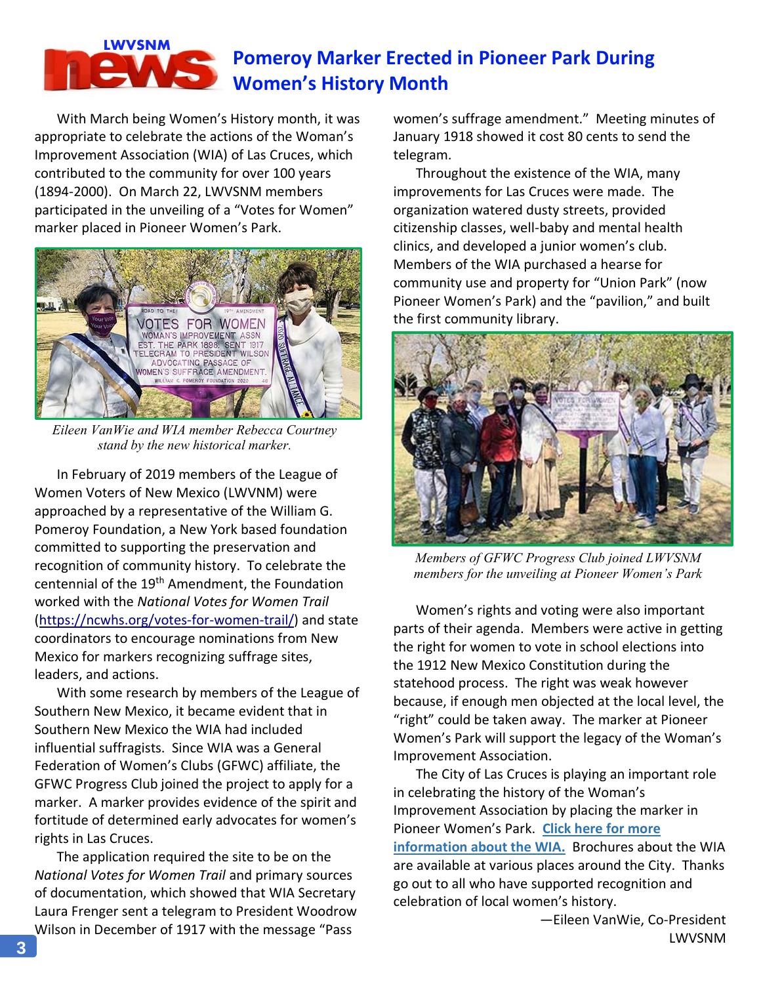# **Pomeroy Marker Erected in Pioneer Park During Women's History Month**

With March being Women's History month, it was appropriate to celebrate the actions of the Woman's Improvement Association (WIA) of Las Cruces, which contributed to the community for over 100 years (1894-2000). On March 22, LWVSNM members participated in the unveiling of a "Votes for Women" marker placed in Pioneer Women's Park.

**LWVSNM**



*Eileen VanWie and WIA member Rebecca Courtney stand by the new historical marker.*

In February of 2019 members of the League of Women Voters of New Mexico (LWVNM) were approached by a representative of the William G. Pomeroy Foundation, a New York based foundation committed to supporting the preservation and recognition of community history. To celebrate the centennial of the 19<sup>th</sup> Amendment, the Foundation worked with the *National Votes for Women Trail* [\(https://ncwhs.org/votes-for-women-trail/\)](https://ncwhs.org/votes-for-women-trail/) and state coordinators to encourage nominations from New Mexico for markers recognizing suffrage sites, leaders, and actions.

With some research by members of the League of Southern New Mexico, it became evident that in Southern New Mexico the WIA had included influential suffragists. Since WIA was a General Federation of Women's Clubs (GFWC) affiliate, the GFWC Progress Club joined the project to apply for a marker. A marker provides evidence of the spirit and fortitude of determined early advocates for women's rights in Las Cruces.

The application required the site to be on the *National Votes for Women Trail* and primary sources of documentation, which showed that WIA Secretary Laura Frenger sent a telegram to President Woodrow Wilson in December of 1917 with the message "Pass

women's suffrage amendment." Meeting minutes of January 1918 showed it cost 80 cents to send the telegram.

Throughout the existence of the WIA, many improvements for Las Cruces were made. The organization watered dusty streets, provided citizenship classes, well-baby and mental health clinics, and developed a junior women's club. Members of the WIA purchased a hearse for community use and property for "Union Park" (now Pioneer Women's Park) and the "pavilion," and built the first community library.



*Members of GFWC Progress Club joined LWVSNM members for the unveiling at Pioneer Women's Park*

Women's rights and voting were also important parts of their agenda. Members were active in getting the right for women to vote in school elections into the 1912 New Mexico Constitution during the statehood process. The right was weak however because, if enough men objected at the local level, the "right" could be taken away. The marker at Pioneer Women's Park will support the legacy of the Woman's Improvement Association.

The City of Las Cruces is playing an important role in celebrating the history of the Woman's Improvement Association by placing the marker in Pioneer Women's Park. **[Click here for more](https://en.wikipedia.org/wiki/Woman%27s_Improvement_Association_of_Las_Cruces)  [information about the WIA.](https://en.wikipedia.org/wiki/Woman%27s_Improvement_Association_of_Las_Cruces)** Brochures about the WIA are available at various places around the City. Thanks go out to all who have supported recognition and celebration of local women's history.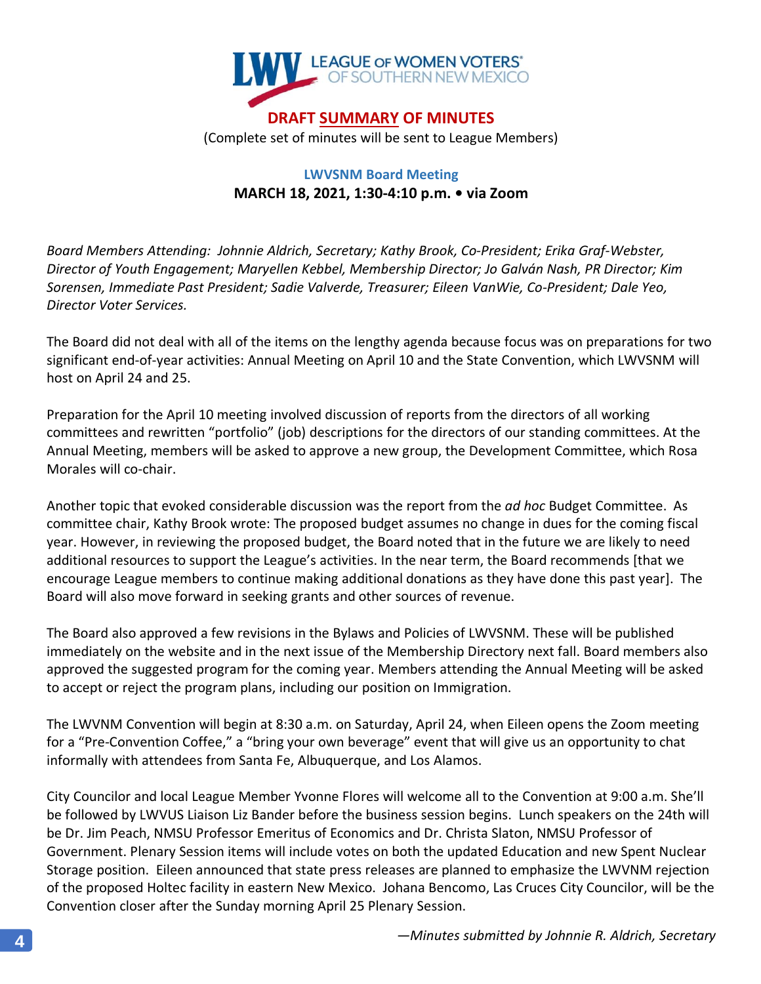

### **LWVSNM Board Meeting MARCH 18, 2021, 1:30-4:10 p.m. • via Zoom**

*Board Members Attending: Johnnie Aldrich, Secretary; Kathy Brook, Co-President; Erika Graf-Webster, Director of Youth Engagement; Maryellen Kebbel, Membership Director; Jo Galván Nash, PR Director; Kim Sorensen, Immediate Past President; Sadie Valverde, Treasurer; Eileen VanWie, Co-President; Dale Yeo, Director Voter Services.*

The Board did not deal with all of the items on the lengthy agenda because focus was on preparations for two significant end-of-year activities: Annual Meeting on April 10 and the State Convention, which LWVSNM will host on April 24 and 25.

Preparation for the April 10 meeting involved discussion of reports from the directors of all working committees and rewritten "portfolio" (job) descriptions for the directors of our standing committees. At the Annual Meeting, members will be asked to approve a new group, the Development Committee, which Rosa Morales will co-chair.

Another topic that evoked considerable discussion was the report from the *ad hoc* Budget Committee. As committee chair, Kathy Brook wrote: The proposed budget assumes no change in dues for the coming fiscal year. However, in reviewing the proposed budget, the Board noted that in the future we are likely to need additional resources to support the League's activities. In the near term, the Board recommends [that we encourage League members to continue making additional donations as they have done this past year]. The Board will also move forward in seeking grants and other sources of revenue.

The Board also approved a few revisions in the Bylaws and Policies of LWVSNM. These will be published immediately on the website and in the next issue of the Membership Directory next fall. Board members also approved the suggested program for the coming year. Members attending the Annual Meeting will be asked to accept or reject the program plans, including our position on Immigration.

The LWVNM Convention will begin at 8:30 a.m. on Saturday, April 24, when Eileen opens the Zoom meeting for a "Pre-Convention Coffee," a "bring your own beverage" event that will give us an opportunity to chat informally with attendees from Santa Fe, Albuquerque, and Los Alamos.

City Councilor and local League Member Yvonne Flores will welcome all to the Convention at 9:00 a.m. She'll be followed by LWVUS Liaison Liz Bander before the business session begins. Lunch speakers on the 24th will be Dr. Jim Peach, NMSU Professor Emeritus of Economics and Dr. Christa Slaton, NMSU Professor of Government. Plenary Session items will include votes on both the updated Education and new Spent Nuclear Storage position. Eileen announced that state press releases are planned to emphasize the LWVNM rejection of the proposed Holtec facility in eastern New Mexico. Johana Bencomo, Las Cruces City Councilor, will be the Convention closer after the Sunday morning April 25 Plenary Session.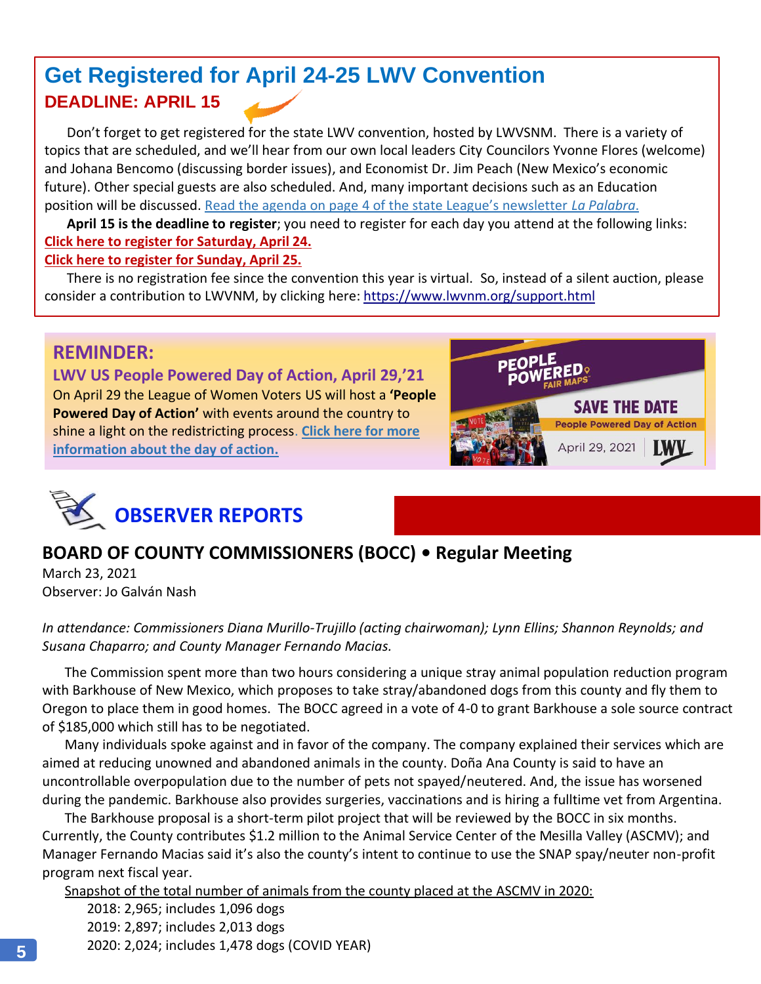# **Get Registered for April 24-25 LWV Convention DEADLINE: APRIL 15**

Don't forget to get registered for the state LWV convention, hosted by LWVSNM. There is a variety of topics that are scheduled, and we'll hear from our own local leaders City Councilors Yvonne Flores (welcome) and Johana Bencomo (discussing border issues), and Economist Dr. Jim Peach (New Mexico's economic future). Other special guests are also scheduled. And, many important decisions such as an Education position will be discussed. [Read the agenda on page 4 of the state League's newsletter](https://www.lwvnm.org/newsletters/Spring2021.pdf) *La Palabra*.

**April 15 is the deadline to register**; you need to register for each day you attend at the following links: **[Click here to register for Saturday, April 24.](https://us02web.zoom.us/meeting/register/tZIodOCsqDgiHNBeXvkjZfOsKzeKFGkuRFFJ)**

### **[Click here to register for Sunday, April 25.](https://us02web.zoom.us/meeting/register/tZEtcuitrT0jHNTpZof6CMPuS5b0AdfOiAm5)**

There is no registration fee since the convention this year is virtual. So, instead of a silent auction, please consider a contribution to LWVNM, by clicking here[: https://www.lwvnm.org/support.html](https://www.lwvnm.org/support.html)

## **REMINDER:**

**LWV US People Powered Day of Action, April 29,'21** On April 29 the League of Women Voters US will host a **'People Powered Day of Action'** with events around the country to shine a light on the redistricting process. **[Click here for more](https://www.lwv.org/sites/default/files/2021-02/People%20powered%20day%20of%20action%20FAQ__.pdf?utm_source=LeagueUpdate&utm_medium=email&utm_campaign=02112021)  [information about the day of action.](https://www.lwv.org/sites/default/files/2021-02/People%20powered%20day%20of%20action%20FAQ__.pdf?utm_source=LeagueUpdate&utm_medium=email&utm_campaign=02112021)**





# **BOARD OF COUNTY COMMISSIONERS (BOCC) • Regular Meeting**

March 23, 2021 Observer: Jo Galván Nash

*In attendance: Commissioners Diana Murillo-Trujillo (acting chairwoman); Lynn Ellins; Shannon Reynolds; and Susana Chaparro; and County Manager Fernando Macias.*

The Commission spent more than two hours considering a unique stray animal population reduction program with Barkhouse of New Mexico, which proposes to take stray/abandoned dogs from this county and fly them to Oregon to place them in good homes. The BOCC agreed in a vote of 4-0 to grant Barkhouse a sole source contract of \$185,000 which still has to be negotiated.

Many individuals spoke against and in favor of the company. The company explained their services which are aimed at reducing unowned and abandoned animals in the county. Doña Ana County is said to have an uncontrollable overpopulation due to the number of pets not spayed/neutered. And, the issue has worsened during the pandemic. Barkhouse also provides surgeries, vaccinations and is hiring a fulltime vet from Argentina.

The Barkhouse proposal is a short-term pilot project that will be reviewed by the BOCC in six months. Currently, the County contributes \$1.2 million to the Animal Service Center of the Mesilla Valley (ASCMV); and Manager Fernando Macias said it's also the county's intent to continue to use the SNAP spay/neuter non-profit program next fiscal year.

Snapshot of the total number of animals from the county placed at the ASCMV in 2020:

2018: 2,965; includes 1,096 dogs 2019: 2,897; includes 2,013 dogs 2020: 2,024; includes 1,478 dogs (COVID YEAR)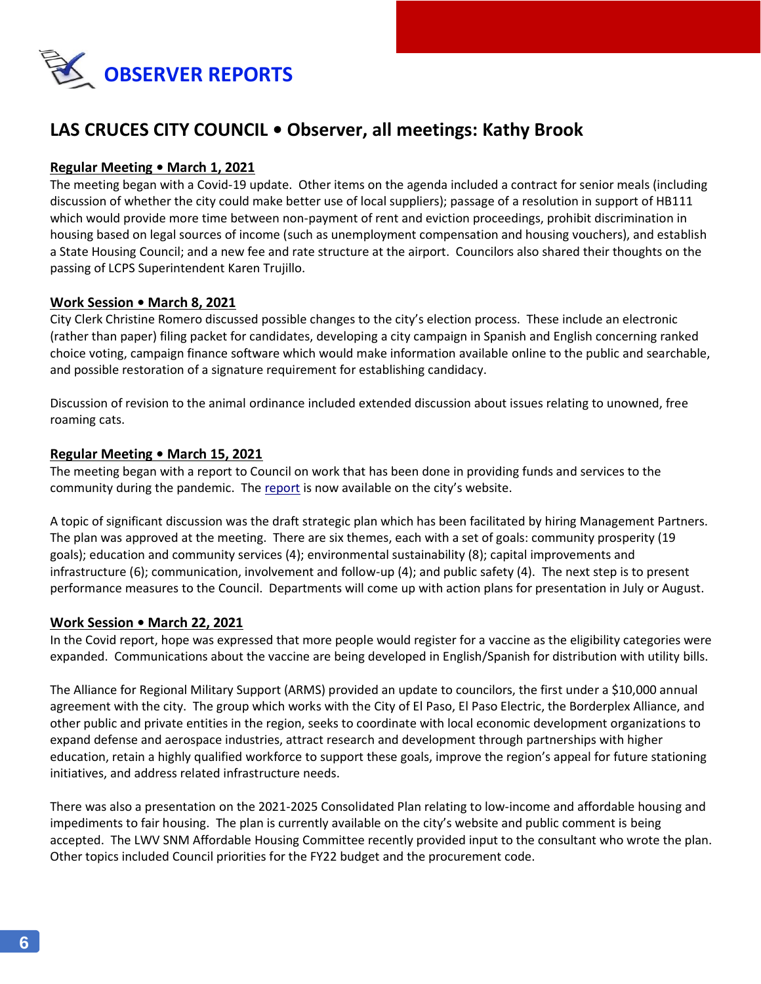

## **LAS CRUCES CITY COUNCIL • Observer, all meetings: Kathy Brook**

#### **Regular Meeting • March 1, 2021**

The meeting began with a Covid-19 update. Other items on the agenda included a contract for senior meals (including discussion of whether the city could make better use of local suppliers); passage of a resolution in support of HB111 which would provide more time between non-payment of rent and eviction proceedings, prohibit discrimination in housing based on legal sources of income (such as unemployment compensation and housing vouchers), and establish a State Housing Council; and a new fee and rate structure at the airport. Councilors also shared their thoughts on the passing of LCPS Superintendent Karen Trujillo.

#### **Work Session • March 8, 2021**

City Clerk Christine Romero discussed possible changes to the city's election process. These include an electronic (rather than paper) filing packet for candidates, developing a city campaign in Spanish and English concerning ranked choice voting, campaign finance software which would make information available online to the public and searchable, and possible restoration of a signature requirement for establishing candidacy.

Discussion of revision to the animal ordinance included extended discussion about issues relating to unowned, free roaming cats.

#### **Regular Meeting • March 15, 2021**

The meeting began with a report to Council on work that has been done in providing funds and services to the community during the pandemic. The [report](https://www.census.gov/library/visualizations/interactive/historical-apportionment-data-map.html) is now available on the city's website.

A topic of significant discussion was the draft strategic plan which has been facilitated by hiring Management Partners. The plan was approved at the meeting. There are six themes, each with a set of goals: community prosperity (19 goals); education and community services (4); environmental sustainability (8); capital improvements and infrastructure (6); communication, involvement and follow-up (4); and public safety (4). The next step is to present performance measures to the Council. Departments will come up with action plans for presentation in July or August.

#### **Work Session • March 22, 2021**

In the Covid report, hope was expressed that more people would register for a vaccine as the eligibility categories were expanded. Communications about the vaccine are being developed in English/Spanish for distribution with utility bills.

The Alliance for Regional Military Support (ARMS) provided an update to councilors, the first under a \$10,000 annual agreement with the city. The group which works with the City of El Paso, El Paso Electric, the Borderplex Alliance, and other public and private entities in the region, seeks to coordinate with local economic development organizations to expand defense and aerospace industries, attract research and development through partnerships with higher education, retain a highly qualified workforce to support these goals, improve the region's appeal for future stationing initiatives, and address related infrastructure needs.

There was also a presentation on the 2021-2025 Consolidated Plan relating to low-income and affordable housing and impediments to fair housing. The plan is currently available on the city's website and public comment is being accepted. The LWV SNM Affordable Housing Committee recently provided input to the consultant who wrote the plan. Other topics included Council priorities for the FY22 budget and the procurement code.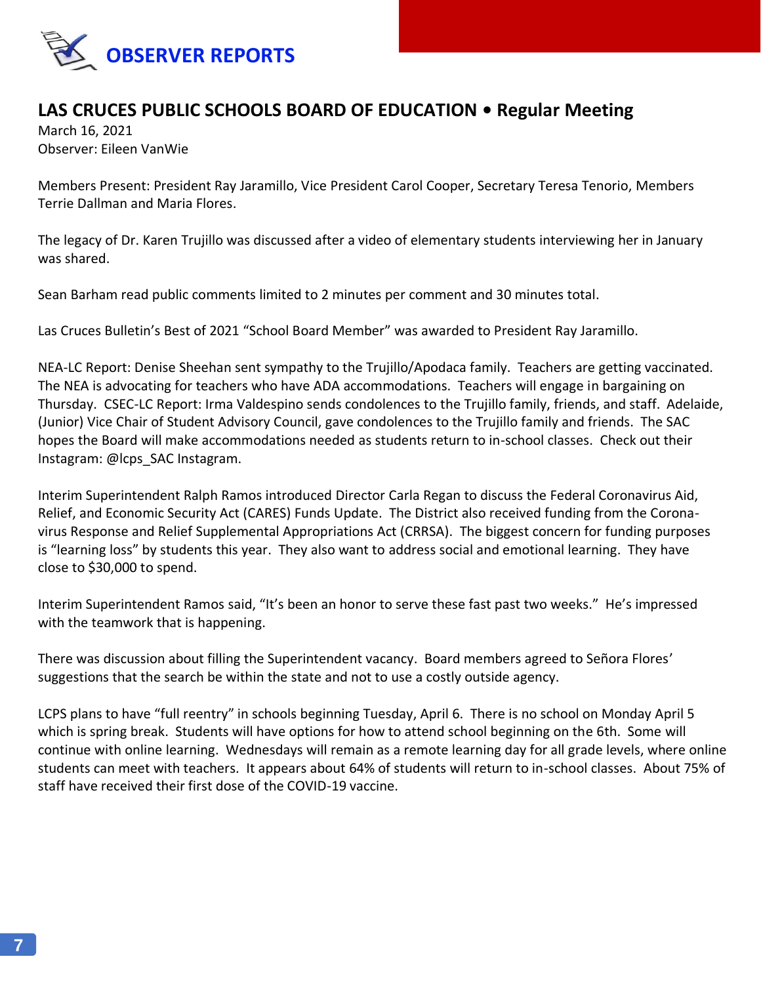

### **LAS CRUCES PUBLIC SCHOOLS BOARD OF EDUCATION • Regular Meeting**

March 16, 2021 Observer: Eileen VanWie

Members Present: President Ray Jaramillo, Vice President Carol Cooper, Secretary Teresa Tenorio, Members Terrie Dallman and Maria Flores.

The legacy of Dr. Karen Trujillo was discussed after a video of elementary students interviewing her in January was shared.

Sean Barham read public comments limited to 2 minutes per comment and 30 minutes total.

Las Cruces Bulletin's Best of 2021 "School Board Member" was awarded to President Ray Jaramillo.

NEA-LC Report: Denise Sheehan sent sympathy to the Trujillo/Apodaca family. Teachers are getting vaccinated. The NEA is advocating for teachers who have ADA accommodations. Teachers will engage in bargaining on Thursday. CSEC-LC Report: Irma Valdespino sends condolences to the Trujillo family, friends, and staff. Adelaide, (Junior) Vice Chair of Student Advisory Council, gave condolences to the Trujillo family and friends. The SAC hopes the Board will make accommodations needed as students return to in-school classes. Check out their Instagram: @lcps\_SAC Instagram.

Interim Superintendent Ralph Ramos introduced Director Carla Regan to discuss the Federal Coronavirus Aid, Relief, and Economic Security Act (CARES) Funds Update. The District also received funding from the Coronavirus Response and Relief Supplemental Appropriations Act (CRRSA). The biggest concern for funding purposes is "learning loss" by students this year. They also want to address social and emotional learning. They have close to \$30,000 to spend.

Interim Superintendent Ramos said, "It's been an honor to serve these fast past two weeks." He's impressed with the teamwork that is happening.

There was discussion about filling the Superintendent vacancy. Board members agreed to Señora Flores' suggestions that the search be within the state and not to use a costly outside agency.

LCPS plans to have "full reentry" in schools beginning Tuesday, April 6. There is no school on Monday April 5 which is spring break. Students will have options for how to attend school beginning on the 6th. Some will continue with online learning. Wednesdays will remain as a remote learning day for all grade levels, where online students can meet with teachers. It appears about 64% of students will return to in-school classes. About 75% of staff have received their first dose of the COVID-19 vaccine.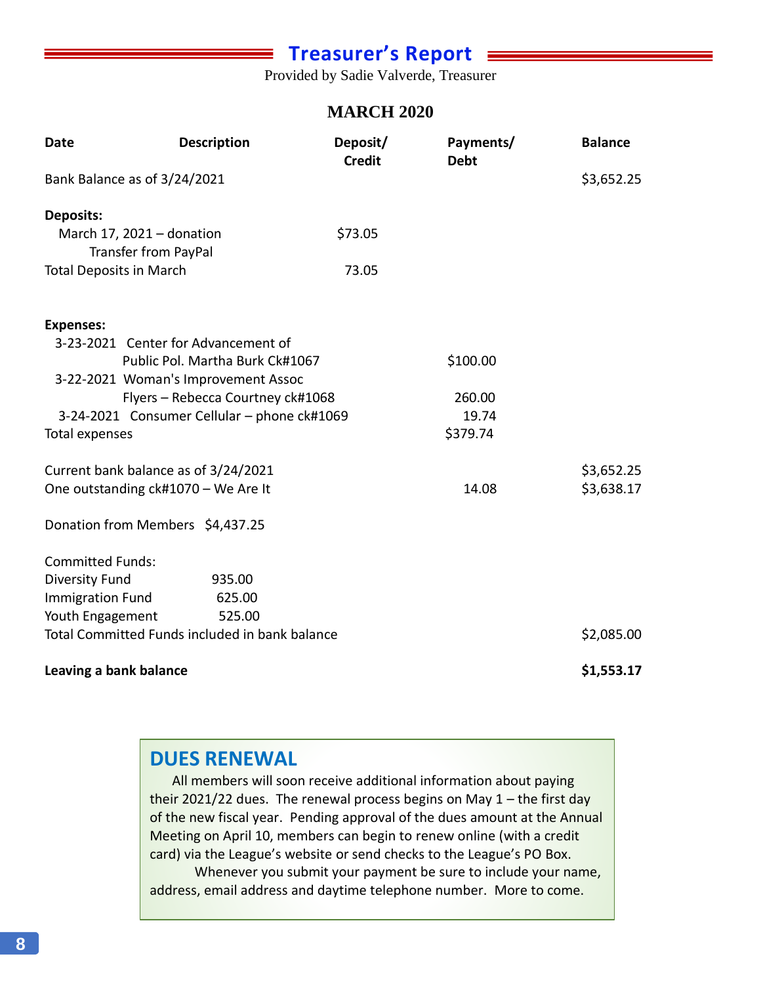# **Treasurer's Report**

Provided by Sadie Valverde, Treasurer

### **MARCH 2020**

| <b>Date</b>                                    | <b>Description</b>                                       | Deposit/<br><b>Credit</b> | Payments/<br><b>Debt</b> | <b>Balance</b> |
|------------------------------------------------|----------------------------------------------------------|---------------------------|--------------------------|----------------|
| Bank Balance as of 3/24/2021                   |                                                          |                           |                          | \$3,652.25     |
| Deposits:                                      |                                                          |                           |                          |                |
|                                                | March 17, 2021 - donation<br><b>Transfer from PayPal</b> | \$73.05                   |                          |                |
| <b>Total Deposits in March</b>                 |                                                          | 73.05                     |                          |                |
| <b>Expenses:</b>                               |                                                          |                           |                          |                |
|                                                | 3-23-2021 Center for Advancement of                      |                           |                          |                |
|                                                | Public Pol. Martha Burk Ck#1067                          |                           | \$100.00                 |                |
|                                                | 3-22-2021 Woman's Improvement Assoc                      |                           |                          |                |
|                                                | Flyers - Rebecca Courtney ck#1068                        |                           | 260.00                   |                |
| 3-24-2021 Consumer Cellular - phone ck#1069    |                                                          |                           | 19.74                    |                |
| Total expenses                                 |                                                          |                           | \$379.74                 |                |
|                                                | Current bank balance as of 3/24/2021                     |                           |                          | \$3,652.25     |
| One outstanding ck#1070 - We Are It            |                                                          |                           | 14.08                    | \$3,638.17     |
|                                                | Donation from Members \$4,437.25                         |                           |                          |                |
| <b>Committed Funds:</b>                        |                                                          |                           |                          |                |
| <b>Diversity Fund</b>                          | 935.00                                                   |                           |                          |                |
| <b>Immigration Fund</b>                        | 625.00                                                   |                           |                          |                |
| Youth Engagement                               | 525.00                                                   |                           |                          |                |
| Total Committed Funds included in bank balance |                                                          |                           |                          | \$2,085.00     |
| Leaving a bank balance                         |                                                          |                           |                          | \$1,553.17     |

## **DUES RENEWAL**

All members will soon receive additional information about paying their 2021/22 dues. The renewal process begins on May  $1$  – the first day of the new fiscal year. Pending approval of the dues amount at the Annual Meeting on April 10, members can begin to renew online (with a credit card) via the League's website or send checks to the League's PO Box.

Whenever you submit your payment be sure to include your name, address, email address and daytime telephone number. More to come.